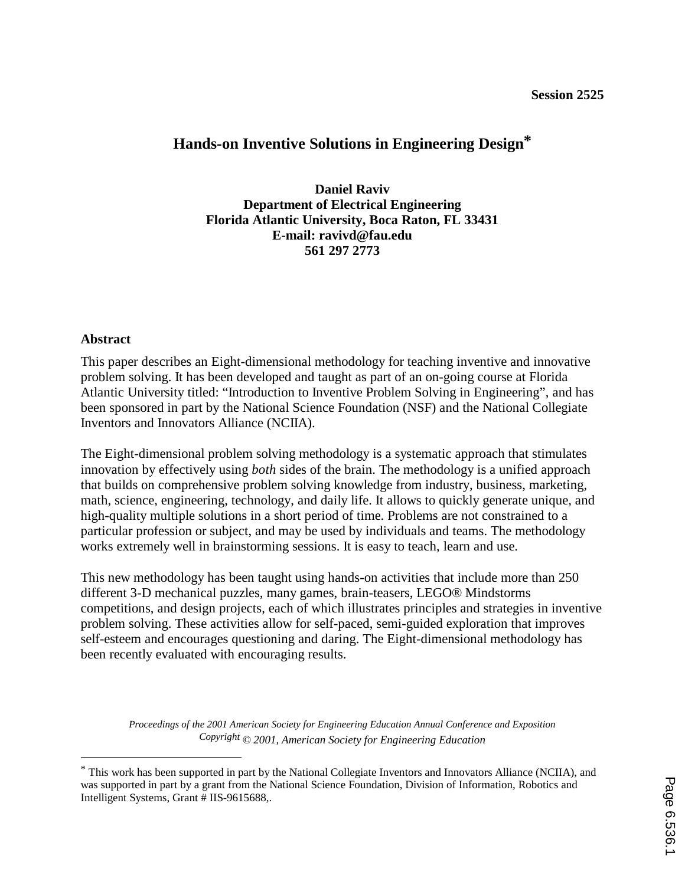# **Hands-on Inventive Solutions in Engineering Design\***

**Daniel Raviv Department of Electrical Engineering Florida Atlantic University, Boca Raton, FL 33431 E-mail: ravivd@fau.edu 561 297 2773** 

#### **Abstract**

 $\overline{a}$ 

This paper describes an Eight-dimensional methodology for teaching inventive and innovative problem solving. It has been developed and taught as part of an on-going course at Florida Atlantic University titled: "Introduction to Inventive Problem Solving in Engineering", and has been sponsored in part by the National Science Foundation (NSF) and the National Collegiate Inventors and Innovators Alliance (NCIIA).

The Eight-dimensional problem solving methodology is a systematic approach that stimulates innovation by effectively using *both* sides of the brain. The methodology is a unified approach that builds on comprehensive problem solving knowledge from industry, business, marketing, math, science, engineering, technology, and daily life. It allows to quickly generate unique, and high-quality multiple solutions in a short period of time. Problems are not constrained to a particular profession or subject, and may be used by individuals and teams. The methodology works extremely well in brainstorming sessions. It is easy to teach, learn and use.

This new methodology has been taught using hands-on activities that include more than 250 different 3-D mechanical puzzles, many games, brain-teasers, LEGO® Mindstorms competitions, and design projects, each of which illustrates principles and strategies in inventive problem solving. These activities allow for self-paced, semi-guided exploration that improves self-esteem and encourages questioning and daring. The Eight-dimensional methodology has been recently evaluated with encouraging results.

<sup>\*</sup> This work has been supported in part by the National Collegiate Inventors and Innovators Alliance (NCIIA), and was supported in part by a grant from the National Science Foundation, Division of Information, Robotics and Intelligent Systems, Grant # IIS-9615688,.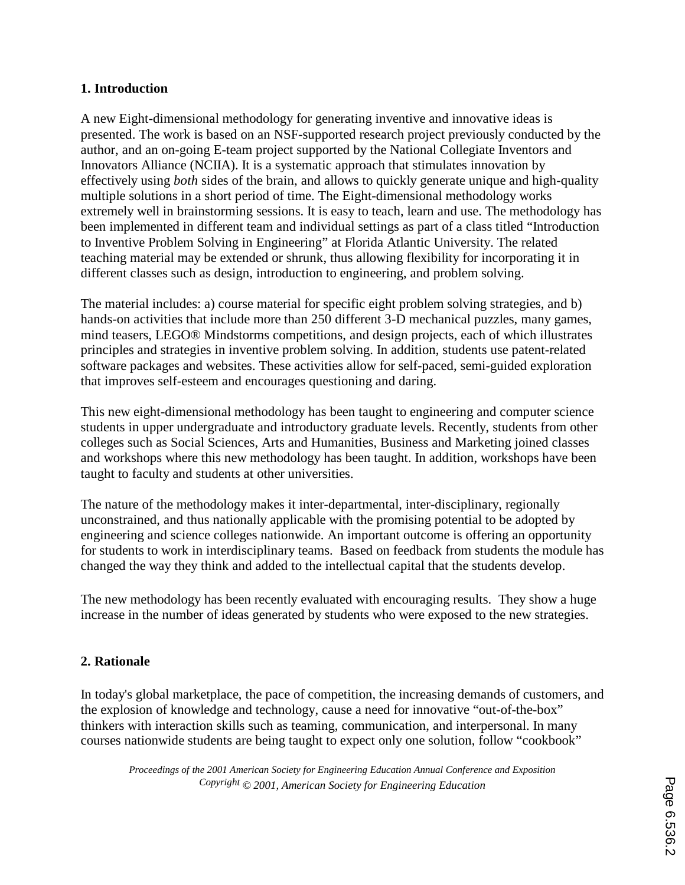#### **1. Introduction**

A new Eight-dimensional methodology for generating inventive and innovative ideas is presented. The work is based on an NSF-supported research project previously conducted by the author, and an on-going E-team project supported by the National Collegiate Inventors and Innovators Alliance (NCIIA). It is a systematic approach that stimulates innovation by effectively using *both* sides of the brain, and allows to quickly generate unique and high-quality multiple solutions in a short period of time. The Eight-dimensional methodology works extremely well in brainstorming sessions. It is easy to teach, learn and use. The methodology has been implemented in different team and individual settings as part of a class titled "Introduction to Inventive Problem Solving in Engineering" at Florida Atlantic University. The related teaching material may be extended or shrunk, thus allowing flexibility for incorporating it in different classes such as design, introduction to engineering, and problem solving.

The material includes: a) course material for specific eight problem solving strategies, and b) hands-on activities that include more than 250 different 3-D mechanical puzzles, many games, mind teasers, LEGO® Mindstorms competitions, and design projects, each of which illustrates principles and strategies in inventive problem solving. In addition, students use patent-related software packages and websites. These activities allow for self-paced, semi-guided exploration that improves self-esteem and encourages questioning and daring.

This new eight-dimensional methodology has been taught to engineering and computer science students in upper undergraduate and introductory graduate levels. Recently, students from other colleges such as Social Sciences, Arts and Humanities, Business and Marketing joined classes and workshops where this new methodology has been taught. In addition, workshops have been taught to faculty and students at other universities.

The nature of the methodology makes it inter-departmental, inter-disciplinary, regionally unconstrained, and thus nationally applicable with the promising potential to be adopted by engineering and science colleges nationwide. An important outcome is offering an opportunity for students to work in interdisciplinary teams. Based on feedback from students the module has changed the way they think and added to the intellectual capital that the students develop.

The new methodology has been recently evaluated with encouraging results. They show a huge increase in the number of ideas generated by students who were exposed to the new strategies.

## **2. Rationale**

In today's global marketplace, the pace of competition, the increasing demands of customers, and the explosion of knowledge and technology, cause a need for innovative "out-of-the-box" thinkers with interaction skills such as teaming, communication, and interpersonal. In many courses nationwide students are being taught to expect only one solution, follow "cookbook"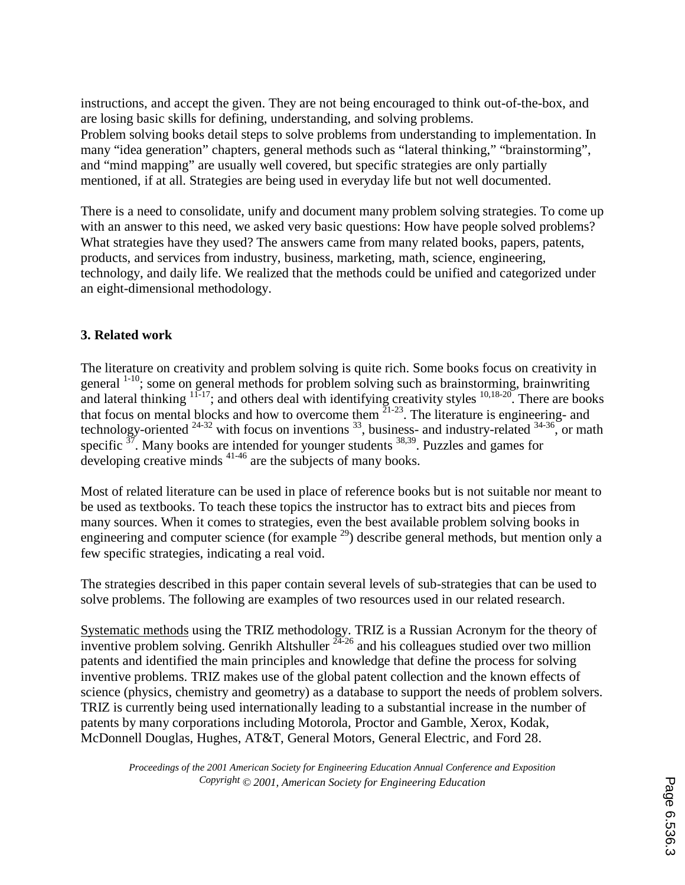instructions, and accept the given. They are not being encouraged to think out-of-the-box, and are losing basic skills for defining, understanding, and solving problems. Problem solving books detail steps to solve problems from understanding to implementation. In many "idea generation" chapters, general methods such as "lateral thinking," "brainstorming", and "mind mapping" are usually well covered, but specific strategies are only partially mentioned, if at all. Strategies are being used in everyday life but not well documented.

There is a need to consolidate, unify and document many problem solving strategies. To come up with an answer to this need, we asked very basic questions: How have people solved problems? What strategies have they used? The answers came from many related books, papers, patents, products, and services from industry, business, marketing, math, science, engineering, technology, and daily life. We realized that the methods could be unified and categorized under an eight-dimensional methodology.

## **3. Related work**

The literature on creativity and problem solving is quite rich. Some books focus on creativity in general <sup>1-10</sup>; some on general methods for problem solving such as brainstorming, brainwriting and lateral thinking  $1^{1-17}$ ; and others deal with identifying creativity styles  $10,18-20$ . There are books that focus on mental blocks and how to overcome them  $2^{1-23}$ . The literature is engineering- and technology-oriented  $24-32$  with focus on inventions  $33$ , business- and industry-related  $34-36$ , or math specific  $37$ . Many books are intended for younger students  $38,39$ . Puzzles and games for developing creative minds <sup>41-46</sup> are the subjects of many books.

Most of related literature can be used in place of reference books but is not suitable nor meant to be used as textbooks. To teach these topics the instructor has to extract bits and pieces from many sources. When it comes to strategies, even the best available problem solving books in engineering and computer science (for example  $^{29}$ ) describe general methods, but mention only a few specific strategies, indicating a real void.

The strategies described in this paper contain several levels of sub-strategies that can be used to solve problems. The following are examples of two resources used in our related research.

Systematic methods using the TRIZ methodology. TRIZ is a Russian Acronym for the theory of inventive problem solving. Genrikh Altshuller  $24-26$  and his colleagues studied over two million patents and identified the main principles and knowledge that define the process for solving inventive problems. TRIZ makes use of the global patent collection and the known effects of science (physics, chemistry and geometry) as a database to support the needs of problem solvers. TRIZ is currently being used internationally leading to a substantial increase in the number of patents by many corporations including Motorola, Proctor and Gamble, Xerox, Kodak, McDonnell Douglas, Hughes, AT&T, General Motors, General Electric, and Ford 28.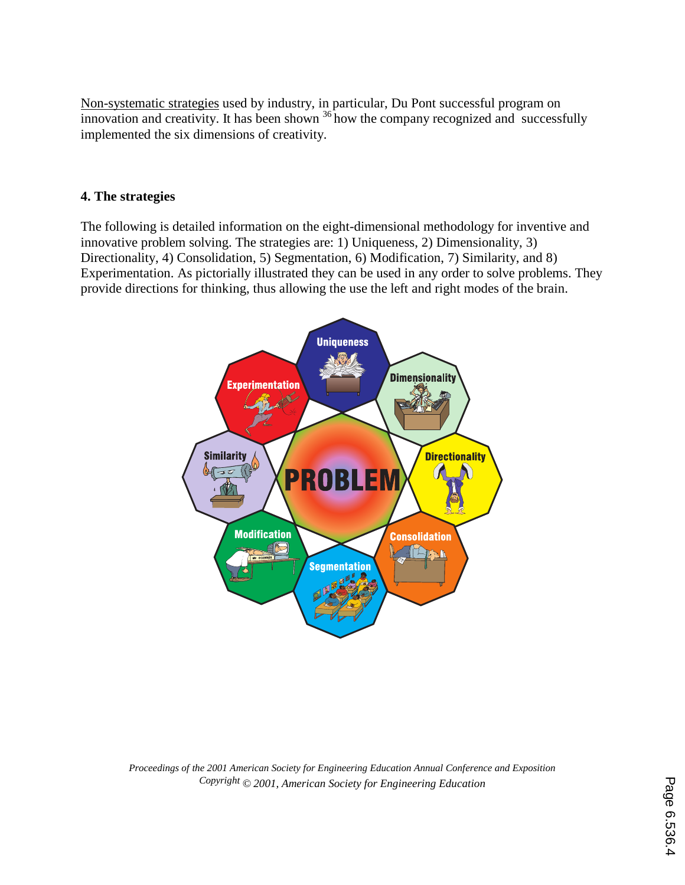Non-systematic strategies used by industry, in particular, Du Pont successful program on innovation and creativity. It has been shown  $36$  how the company recognized and successfully implemented the six dimensions of creativity.

#### **4. The strategies**

The following is detailed information on the eight-dimensional methodology for inventive and innovative problem solving. The strategies are: 1) Uniqueness, 2) Dimensionality, 3) Directionality, 4) Consolidation, 5) Segmentation, 6) Modification, 7) Similarity, and 8) Experimentation. As pictorially illustrated they can be used in any order to solve problems. They provide directions for thinking, thus allowing the use the left and right modes of the brain.

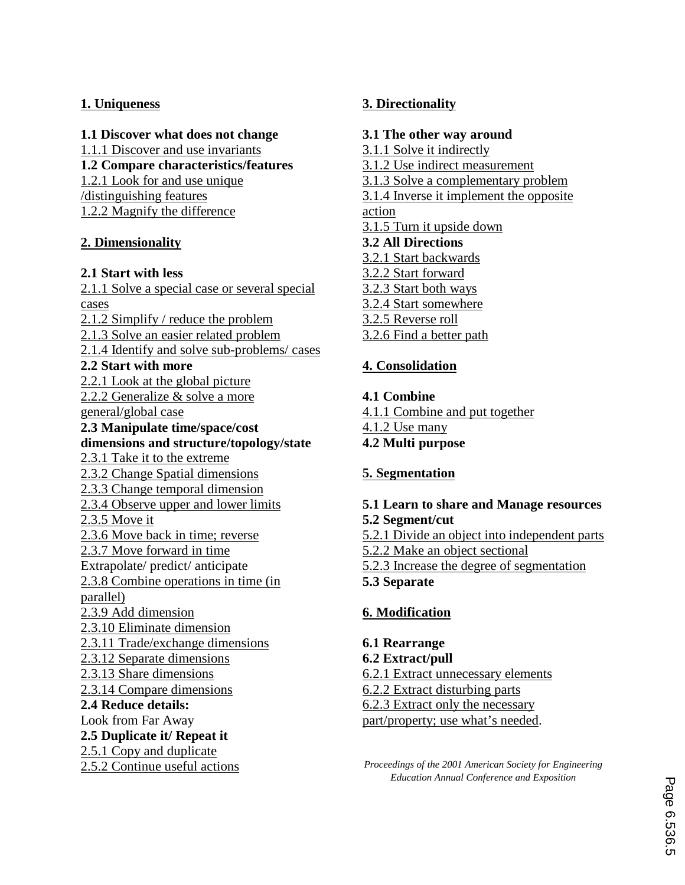## **1. Uniqueness**

**1.1 Discover what does not change** 

1.1.1 Discover and use invariants

**1.2 Compare characteristics/features** 

1.2.1 Look for and use unique

/distinguishing features

1.2.2 Magnify the difference

# **2. Dimensionality**

# **2.1 Start with less**

2.1.1 Solve a special case or several special cases 2.1.2 Simplify / reduce the problem 2.1.3 Solve an easier related problem 2.1.4 Identify and solve sub-problems/ cases **2.2 Start with more**  2.2.1 Look at the global picture 2.2.2 Generalize & solve a more general/global case **2.3 Manipulate time/space/cost dimensions and structure/topology/state**  2.3.1 Take it to the extreme 2.3.2 Change Spatial dimensions 2.3.3 Change temporal dimension 2.3.4 Observe upper and lower limits 2.3.5 Move it 2.3.6 Move back in time; reverse 2.3.7 Move forward in time Extrapolate/ predict/ anticipate 2.3.8 Combine operations in time (in parallel) 2.3.9 Add dimension 2.3.10 Eliminate dimension 2.3.11 Trade/exchange dimensions 2.3.12 Separate dimensions 2.3.13 Share dimensions 2.3.14 Compare dimensions **2.4 Reduce details:**  Look from Far Away **2.5 Duplicate it/ Repeat it**  2.5.1 Copy and duplicate 2.5.2 Continue useful actions

# **3. Directionality**

## **3.1 The other way around**

- 3.1.1 Solve it indirectly
- 3.1.2 Use indirect measurement
- 3.1.3 Solve a complementary problem

3.1.4 Inverse it implement the opposite action

- 3.1.5 Turn it upside down
- **3.2 All Directions**
- 3.2.1 Start backwards
- 3.2.2 Start forward
- 3.2.3 Start both ways
- 3.2.4 Start somewhere
- 3.2.5 Reverse roll
- 3.2.6 Find a better path

# **4. Consolidation**

- **4.1 Combine**
- 4.1.1 Combine and put together
- 4.1.2 Use many
- **4.2 Multi purpose**

# **5. Segmentation**

#### **5.1 Learn to share and Manage resources 5.2 Segment/cut**

- 5.2.1 Divide an object into independent parts
- 5.2.2 Make an object sectional
- 5.2.3 Increase the degree of segmentation
- **5.3 Separate**

# **6. Modification**

## **6.1 Rearrange**

- **6.2 Extract/pull**
- 6.2.1 Extract unnecessary elements
- 6.2.2 Extract disturbing parts
- 6.2.3 Extract only the necessary
- part/property; use what's needed.

*Proceedings of the 2001 American Society for Engineering Education Annual Conference and Exposition*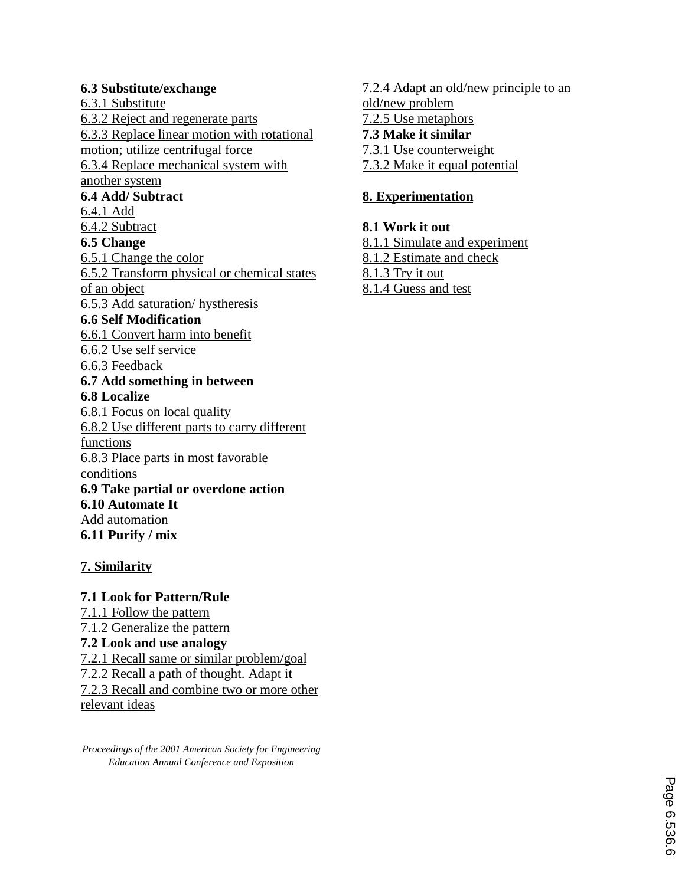## **6.3 Substitute/exchange**

6.3.1 Substitute 6.3.2 Reject and regenerate parts 6.3.3 Replace linear motion with rotational motion; utilize centrifugal force 6.3.4 Replace mechanical system with another system **6.4 Add/ Subtract**  6.4.1 Add 6.4.2 Subtract **6.5 Change**  6.5.1 Change the color 6.5.2 Transform physical or chemical states of an object 6.5.3 Add saturation/ hystheresis **6.6 Self Modification**  6.6.1 Convert harm into benefit 6.6.2 Use self service 6.6.3 Feedback **6.7 Add something in between 6.8 Localize**  6.8.1 Focus on local quality 6.8.2 Use different parts to carry different functions 6.8.3 Place parts in most favorable conditions **6.9 Take partial or overdone action 6.10 Automate It**  Add automation **6.11 Purify / mix** 

# **7. Similarity**

# **7.1 Look for Pattern/Rule**

7.1.1 Follow the pattern 7.1.2 Generalize the pattern **7.2 Look and use analogy** 7.2.1 Recall same or similar problem/goal 7.2.2 Recall a path of thought. Adapt it 7.2.3 Recall and combine two or more other relevant ideas

*Proceedings of the 2001 American Society for Engineering Education Annual Conference and Exposition* 

7.2.4 Adapt an old/new principle to an old/new problem 7.2.5 Use metaphors **7.3 Make it similar**  7.3.1 Use counterweight 7.3.2 Make it equal potential

## **8. Experimentation**

**8.1 Work it out**  8.1.1 Simulate and experiment 8.1.2 Estimate and check 8.1.3 Try it out 8.1.4 Guess and test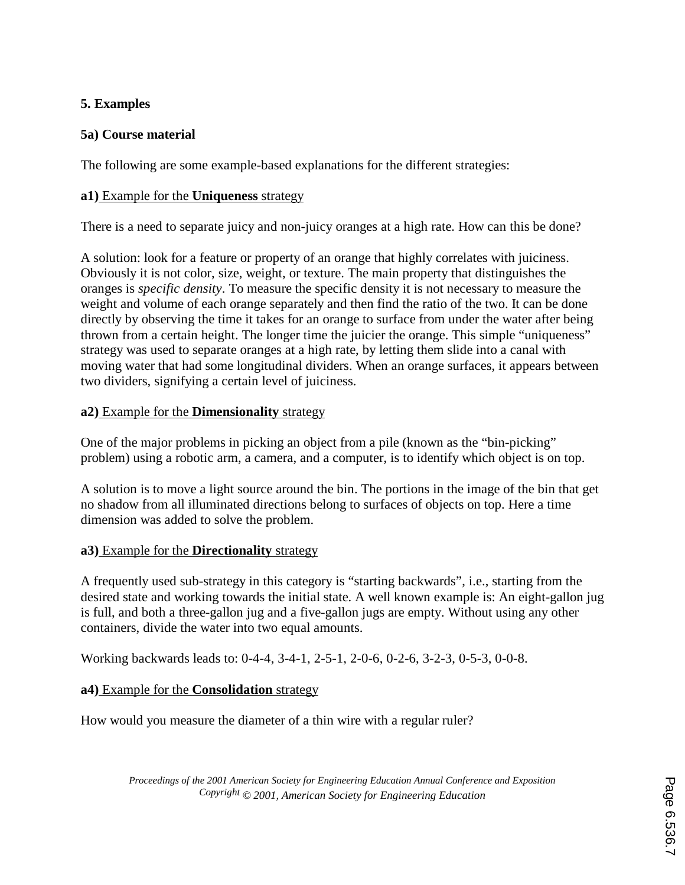## **5. Examples**

## **5a) Course material**

The following are some example-based explanations for the different strategies:

#### **a1)** Example for the **Uniqueness** strategy

There is a need to separate juicy and non-juicy oranges at a high rate. How can this be done?

A solution: look for a feature or property of an orange that highly correlates with juiciness. Obviously it is not color, size, weight, or texture. The main property that distinguishes the oranges is *specific density*. To measure the specific density it is not necessary to measure the weight and volume of each orange separately and then find the ratio of the two. It can be done directly by observing the time it takes for an orange to surface from under the water after being thrown from a certain height. The longer time the juicier the orange. This simple "uniqueness" strategy was used to separate oranges at a high rate, by letting them slide into a canal with moving water that had some longitudinal dividers. When an orange surfaces, it appears between two dividers, signifying a certain level of juiciness.

#### **a2)** Example for the **Dimensionality** strategy

One of the major problems in picking an object from a pile (known as the "bin-picking" problem) using a robotic arm, a camera, and a computer, is to identify which object is on top.

A solution is to move a light source around the bin. The portions in the image of the bin that get no shadow from all illuminated directions belong to surfaces of objects on top. Here a time dimension was added to solve the problem.

## **a3)** Example for the **Directionality** strategy

A frequently used sub-strategy in this category is "starting backwards", i.e., starting from the desired state and working towards the initial state. A well known example is: An eight-gallon jug is full, and both a three-gallon jug and a five-gallon jugs are empty. Without using any other containers, divide the water into two equal amounts.

Working backwards leads to: 0-4-4, 3-4-1, 2-5-1, 2-0-6, 0-2-6, 3-2-3, 0-5-3, 0-0-8.

## **a4)** Example for the **Consolidation** strategy

How would you measure the diameter of a thin wire with a regular ruler?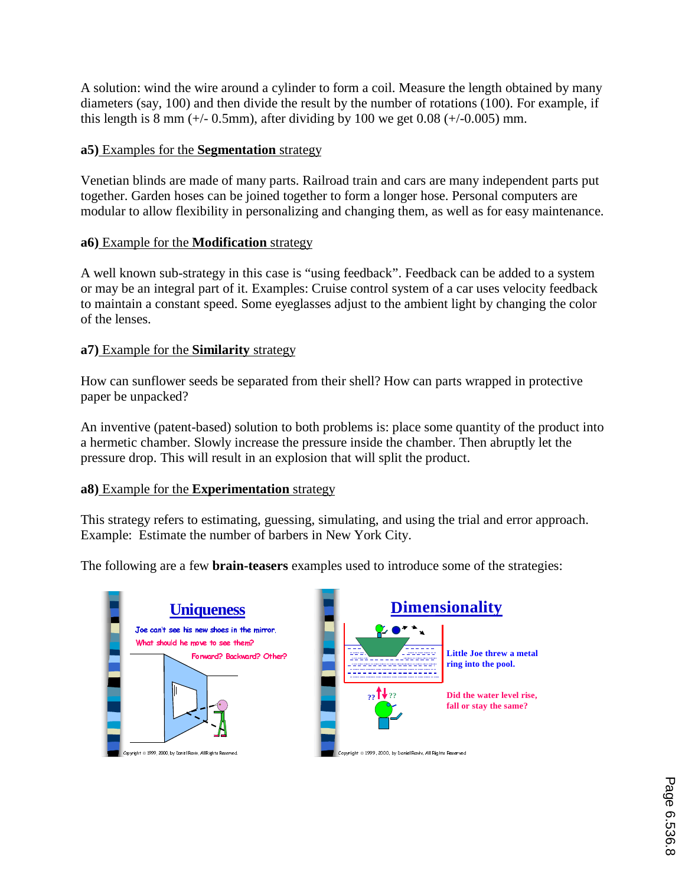A solution: wind the wire around a cylinder to form a coil. Measure the length obtained by many diameters (say, 100) and then divide the result by the number of rotations (100). For example, if this length is 8 mm ( $+/- 0.5$ mm), after dividing by 100 we get 0.08 ( $+/- 0.005$ ) mm.

#### **a5)** Examples for the **Segmentation** strategy

Venetian blinds are made of many parts. Railroad train and cars are many independent parts put together. Garden hoses can be joined together to form a longer hose. Personal computers are modular to allow flexibility in personalizing and changing them, as well as for easy maintenance.

#### **a6)** Example for the **Modification** strategy

A well known sub-strategy in this case is "using feedback". Feedback can be added to a system or may be an integral part of it. Examples: Cruise control system of a car uses velocity feedback to maintain a constant speed. Some eyeglasses adjust to the ambient light by changing the color of the lenses.

#### **a7)** Example for the **Similarity** strategy

How can sunflower seeds be separated from their shell? How can parts wrapped in protective paper be unpacked?

An inventive (patent-based) solution to both problems is: place some quantity of the product into a hermetic chamber. Slowly increase the pressure inside the chamber. Then abruptly let the pressure drop. This will result in an explosion that will split the product.

#### **a8)** Example for the **Experimentation** strategy

This strategy refers to estimating, guessing, simulating, and using the trial and error approach. Example: Estimate the number of barbers in New York City.

The following are a few **brain-teasers** examples used to introduce some of the strategies:





Copyright © 1999, 2000, by Daniel Raviv, All Rights Reserved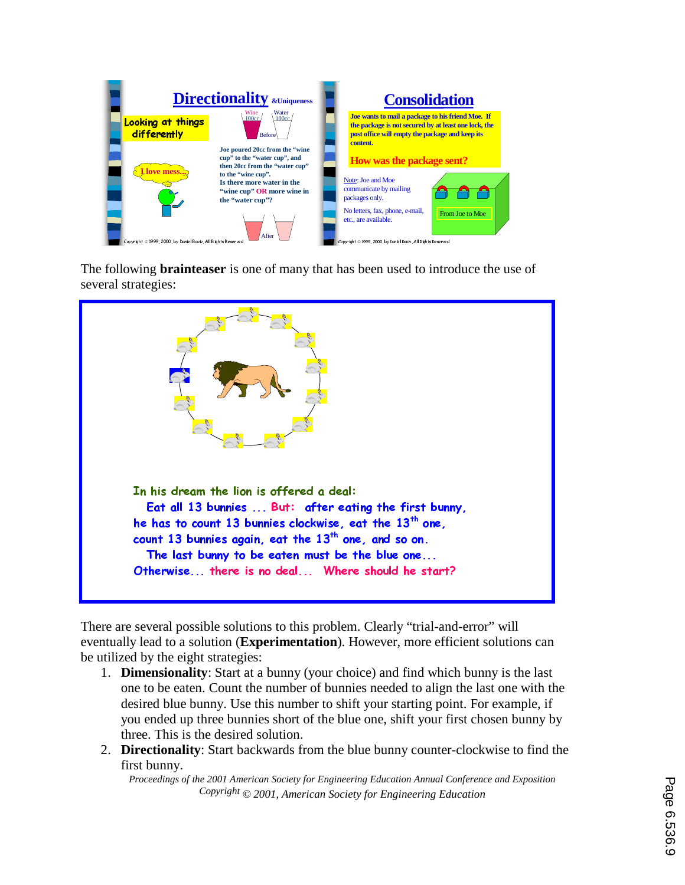

The following **brainteaser** is one of many that has been used to introduce the use of several strategies:



There are several possible solutions to this problem. Clearly "trial-and-error" will eventually lead to a solution (**Experimentation**). However, more efficient solutions can be utilized by the eight strategies:

- 1. **Dimensionality**: Start at a bunny (your choice) and find which bunny is the last one to be eaten. Count the number of bunnies needed to align the last one with the desired blue bunny. Use this number to shift your starting point. For example, if you ended up three bunnies short of the blue one, shift your first chosen bunny by three. This is the desired solution.
- 2. **Directionality**: Start backwards from the blue bunny counter-clockwise to find the first bunny.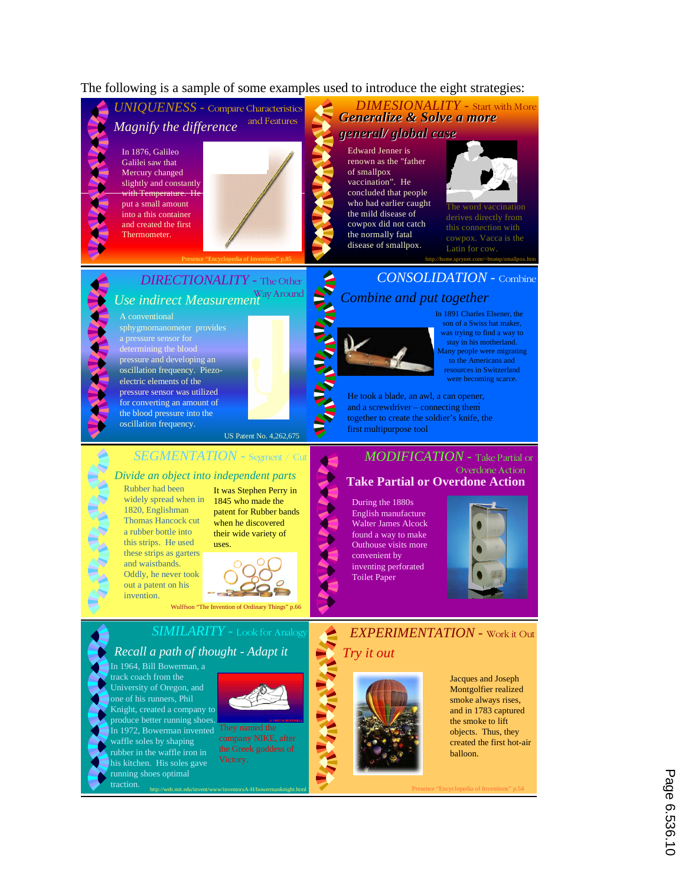#### The following is a sample of some examples used to introduce the eight strategies:



Page 6.536.1C Page 6.536.10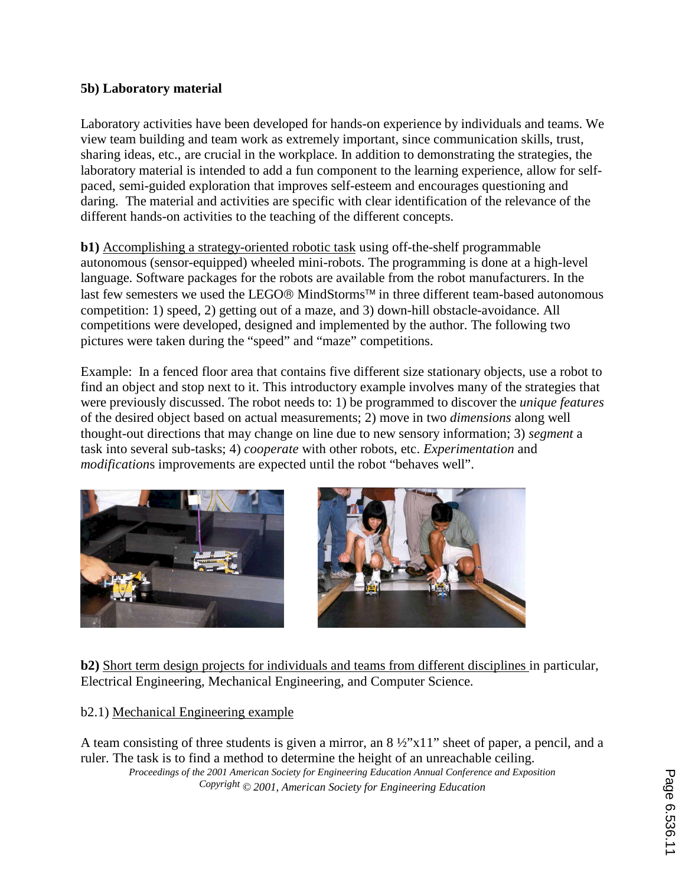## **5b) Laboratory material**

Laboratory activities have been developed for hands-on experience by individuals and teams. We view team building and team work as extremely important, since communication skills, trust, sharing ideas, etc., are crucial in the workplace. In addition to demonstrating the strategies, the laboratory material is intended to add a fun component to the learning experience, allow for selfpaced, semi-guided exploration that improves self-esteem and encourages questioning and daring. The material and activities are specific with clear identification of the relevance of the different hands-on activities to the teaching of the different concepts.

**b1)** Accomplishing a strategy-oriented robotic task using off-the-shelf programmable autonomous (sensor-equipped) wheeled mini-robots. The programming is done at a high-level language. Software packages for the robots are available from the robot manufacturers. In the last few semesters we used the LEGO $\textcircled{e}$  MindStorms<sup>™</sup> in three different team-based autonomous competition: 1) speed, 2) getting out of a maze, and 3) down-hill obstacle-avoidance. All competitions were developed, designed and implemented by the author. The following two pictures were taken during the "speed" and "maze" competitions.

Example: In a fenced floor area that contains five different size stationary objects, use a robot to find an object and stop next to it. This introductory example involves many of the strategies that were previously discussed. The robot needs to: 1) be programmed to discover the *unique features* of the desired object based on actual measurements; 2) move in two *dimensions* along well thought-out directions that may change on line due to new sensory information; 3) *segment* a task into several sub-tasks; 4) *cooperate* with other robots, etc. *Experimentation* and *modification*s improvements are expected until the robot "behaves well".





**b2)** Short term design projects for individuals and teams from different disciplines in particular, Electrical Engineering, Mechanical Engineering, and Computer Science.

## b2.1) Mechanical Engineering example

A team consisting of three students is given a mirror, an 8 ½"x11" sheet of paper, a pencil, and a ruler. The task is to find a method to determine the height of an unreachable ceiling. *Proceedings of the 2001 American Society for Engineering Education Annual Conference and Exposition Copyright © 2001, American Society for Engineering Education*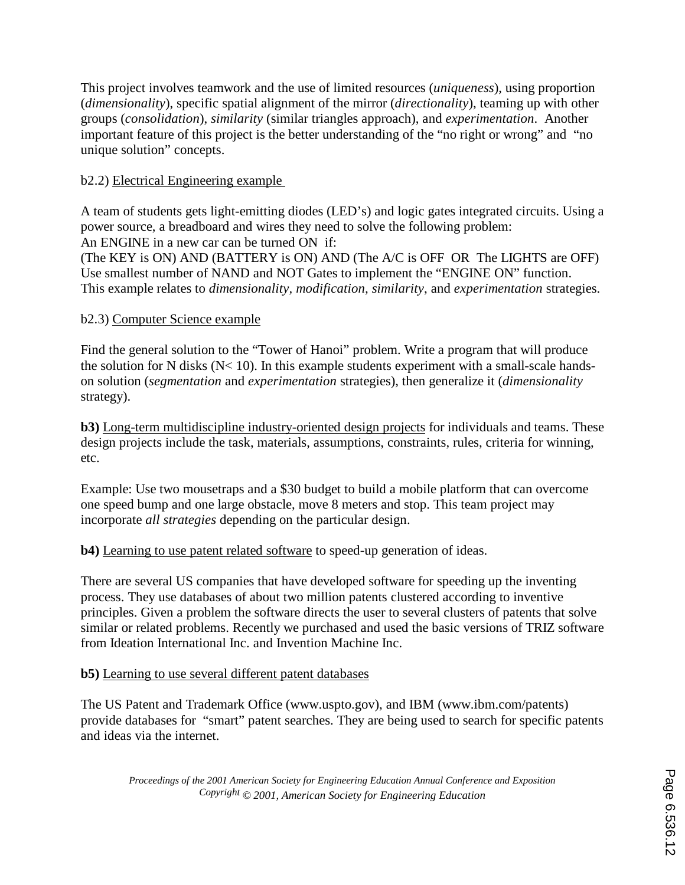This project involves teamwork and the use of limited resources (*uniqueness*), using proportion (*dimensionality*), specific spatial alignment of the mirror (*directionality*), teaming up with other groups (*consolidation*), *similarity* (similar triangles approach), and *experimentation*. Another important feature of this project is the better understanding of the "no right or wrong" and "no unique solution" concepts.

## b2.2) Electrical Engineering example

A team of students gets light-emitting diodes (LED's) and logic gates integrated circuits. Using a power source, a breadboard and wires they need to solve the following problem: An ENGINE in a new car can be turned ON if:

(The KEY is ON) AND (BATTERY is ON) AND (The A/C is OFF OR The LIGHTS are OFF) Use smallest number of NAND and NOT Gates to implement the "ENGINE ON" function. This example relates to *dimensionality, modification, similarity*, and *experimentation* strategies.

## b2.3) Computer Science example

Find the general solution to the "Tower of Hanoi" problem. Write a program that will produce the solution for N disks (N< 10). In this example students experiment with a small-scale handson solution (*segmentation* and *experimentation* strategies), then generalize it (*dimensionality* strategy).

**b3)** Long-term multidiscipline industry-oriented design projects for individuals and teams. These design projects include the task, materials, assumptions, constraints, rules, criteria for winning, etc.

Example: Use two mousetraps and a \$30 budget to build a mobile platform that can overcome one speed bump and one large obstacle, move 8 meters and stop. This team project may incorporate *all strategies* depending on the particular design.

## **b4)** Learning to use patent related software to speed-up generation of ideas.

There are several US companies that have developed software for speeding up the inventing process. They use databases of about two million patents clustered according to inventive principles. Given a problem the software directs the user to several clusters of patents that solve similar or related problems. Recently we purchased and used the basic versions of TRIZ software from Ideation International Inc. and Invention Machine Inc.

## **b5)** Learning to use several different patent databases

The US Patent and Trademark Office (www.uspto.gov), and IBM (www.ibm.com/patents) provide databases for "smart" patent searches. They are being used to search for specific patents and ideas via the internet.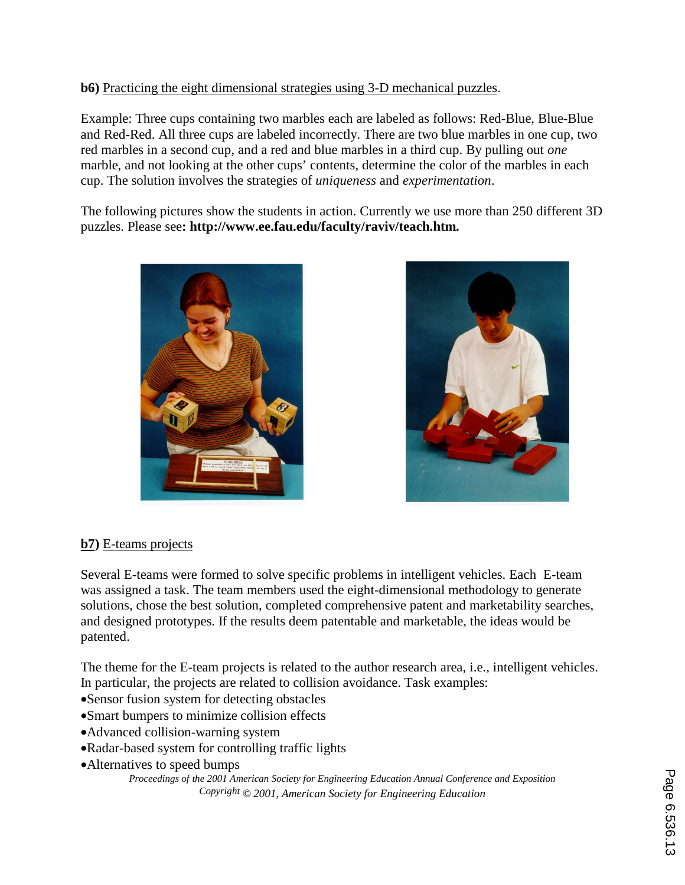## **b6)** Practicing the eight dimensional strategies using 3-D mechanical puzzles.

Example: Three cups containing two marbles each are labeled as follows: Red-Blue, Blue-Blue and Red-Red. All three cups are labeled incorrectly. There are two blue marbles in one cup, two red marbles in a second cup, and a red and blue marbles in a third cup. By pulling out *one* marble, and not looking at the other cups' contents, determine the color of the marbles in each cup. The solution involves the strategies of *uniqueness* and *experimentation*.

The following pictures show the students in action. Currently we use more than 250 different 3D puzzles. Please see**: http://www.ee.fau.edu/faculty/raviv/teach.htm.** 





# **b7)** E-teams projects

Several E-teams were formed to solve specific problems in intelligent vehicles. Each E-team was assigned a task. The team members used the eight-dimensional methodology to generate solutions, chose the best solution, completed comprehensive patent and marketability searches, and designed prototypes. If the results deem patentable and marketable, the ideas would be patented.

The theme for the E-team projects is related to the author research area, i.e., intelligent vehicles. In particular, the projects are related to collision avoidance. Task examples:

- •Sensor fusion system for detecting obstacles
- •Smart bumpers to minimize collision effects
- •Advanced collision-warning system
- •Radar-based system for controlling traffic lights
- •Alternatives to speed bumps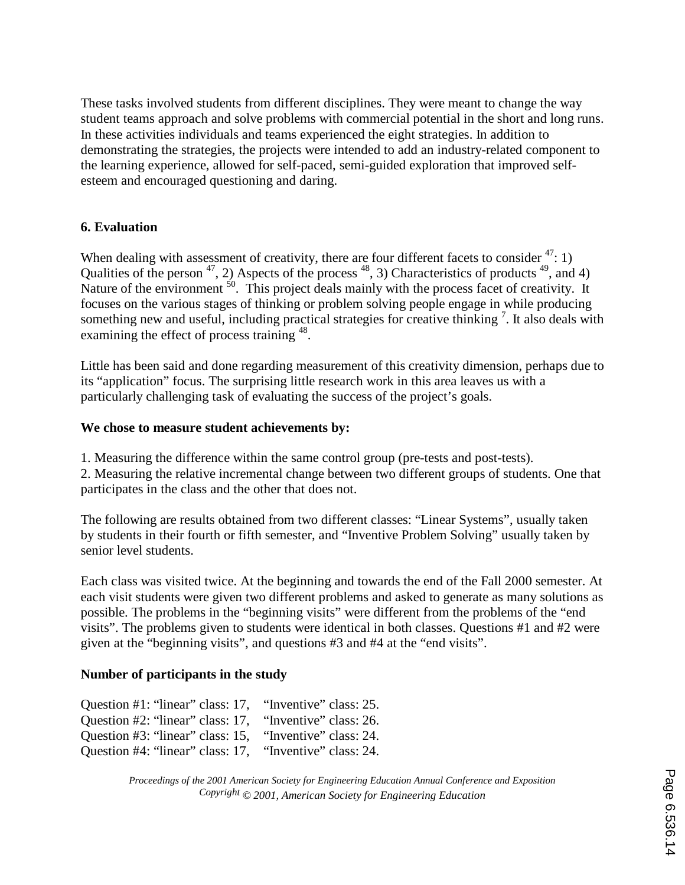These tasks involved students from different disciplines. They were meant to change the way student teams approach and solve problems with commercial potential in the short and long runs. In these activities individuals and teams experienced the eight strategies. In addition to demonstrating the strategies, the projects were intended to add an industry-related component to the learning experience, allowed for self-paced, semi-guided exploration that improved selfesteem and encouraged questioning and daring.

## **6. Evaluation**

When dealing with assessment of creativity, there are four different facets to consider  $4$ <sup>'</sup>: 1) Qualities of the person  $47$ , 2) Aspects of the process  $48$ , 3) Characteristics of products  $49$ , and 4) Nature of the environment <sup>50</sup>. This project deals mainly with the process facet of creativity. It focuses on the various stages of thinking or problem solving people engage in while producing something new and useful, including practical strategies for creative thinking<sup>7</sup>. It also deals with examining the effect of process training <sup>48</sup>.

Little has been said and done regarding measurement of this creativity dimension, perhaps due to its "application" focus. The surprising little research work in this area leaves us with a particularly challenging task of evaluating the success of the project's goals.

## **We chose to measure student achievements by:**

1. Measuring the difference within the same control group (pre-tests and post-tests).

2. Measuring the relative incremental change between two different groups of students. One that participates in the class and the other that does not.

The following are results obtained from two different classes: "Linear Systems", usually taken by students in their fourth or fifth semester, and "Inventive Problem Solving" usually taken by senior level students.

Each class was visited twice. At the beginning and towards the end of the Fall 2000 semester. At each visit students were given two different problems and asked to generate as many solutions as possible. The problems in the "beginning visits" were different from the problems of the "end visits". The problems given to students were identical in both classes. Questions #1 and #2 were given at the "beginning visits", and questions #3 and #4 at the "end visits".

## **Number of participants in the study**

Question #1: "linear" class: 17, "Inventive" class: 25. Question #2: "linear" class: 17, "Inventive" class: 26. Question #3: "linear" class: 15, "Inventive" class: 24. Question #4: "linear" class: 17, "Inventive" class: 24.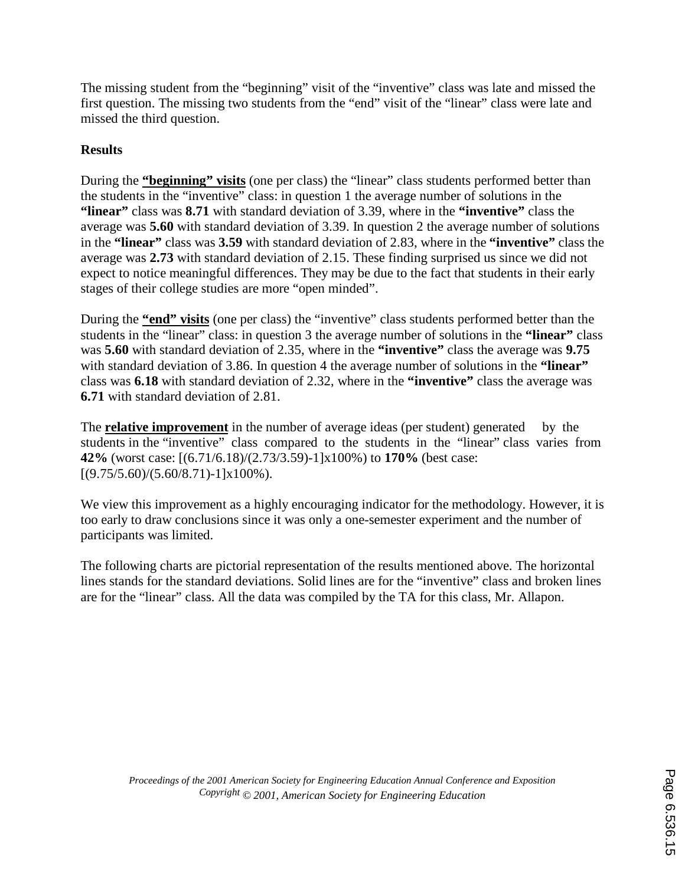The missing student from the "beginning" visit of the "inventive" class was late and missed the first question. The missing two students from the "end" visit of the "linear" class were late and missed the third question.

## **Results**

During the **"beginning" visits** (one per class) the "linear" class students performed better than the students in the "inventive" class: in question 1 the average number of solutions in the **"linear"** class was **8.71** with standard deviation of 3.39, where in the **"inventive"** class the average was **5.60** with standard deviation of 3.39. In question 2 the average number of solutions in the **"linear"** class was **3.59** with standard deviation of 2.83, where in the **"inventive"** class the average was **2.73** with standard deviation of 2.15. These finding surprised us since we did not expect to notice meaningful differences. They may be due to the fact that students in their early stages of their college studies are more "open minded".

During the **"end" visits** (one per class) the "inventive" class students performed better than the students in the "linear" class: in question 3 the average number of solutions in the **"linear"** class was **5.60** with standard deviation of 2.35, where in the **"inventive"** class the average was **9.75** with standard deviation of 3.86. In question 4 the average number of solutions in the **"linear"** class was **6.18** with standard deviation of 2.32, where in the **"inventive"** class the average was **6.71** with standard deviation of 2.81.

The **relative improvement** in the number of average ideas (per student) generated by the students in the "inventive" class compared to the students in the "linear" class varies from **42%** (worst case: [(6.71/6.18)/(2.73/3.59)-1]x100%) to **170%** (best case:  $[(9.75/5.60)/(5.60/8.71)-1] \times 100\%$ ).

We view this improvement as a highly encouraging indicator for the methodology. However, it is too early to draw conclusions since it was only a one-semester experiment and the number of participants was limited.

The following charts are pictorial representation of the results mentioned above. The horizontal lines stands for the standard deviations. Solid lines are for the "inventive" class and broken lines are for the "linear" class. All the data was compiled by the TA for this class, Mr. Allapon.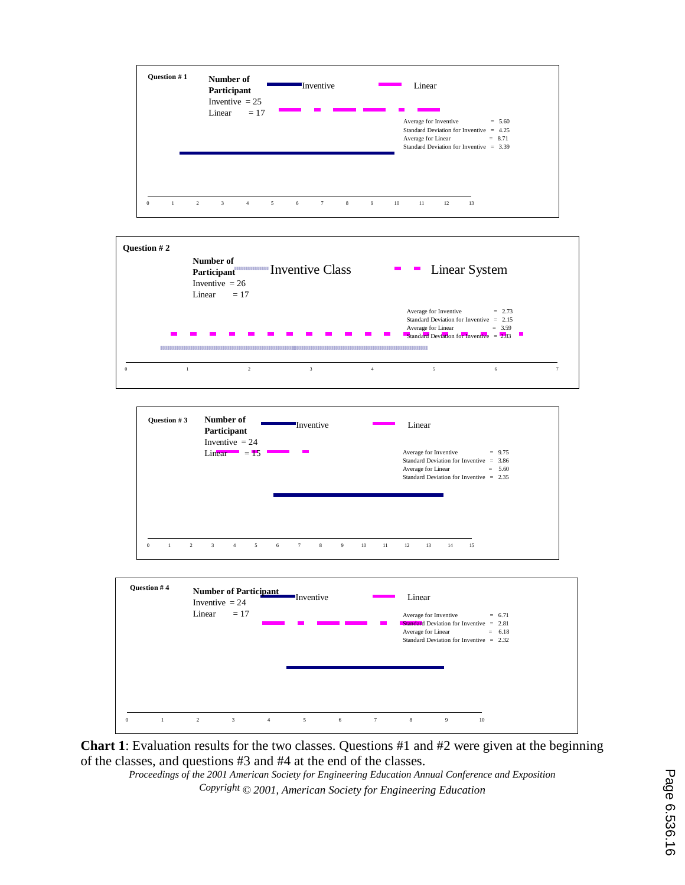







**Chart 1**: Evaluation results for the two classes. Questions #1 and #2 were given at the beginning of the classes, and questions #3 and #4 at the end of the classes.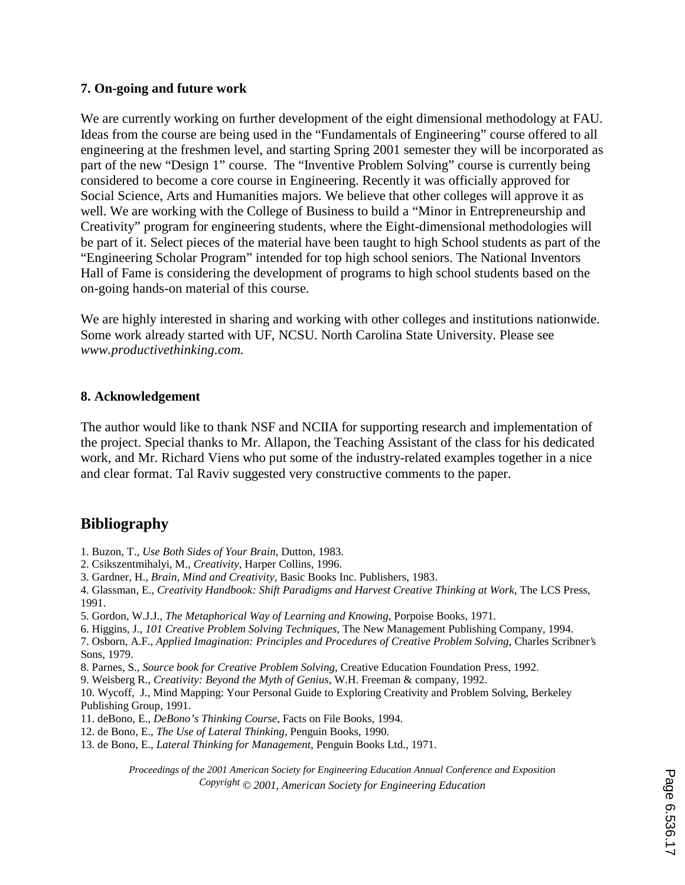#### **7. On-going and future work**

We are currently working on further development of the eight dimensional methodology at FAU. Ideas from the course are being used in the "Fundamentals of Engineering" course offered to all engineering at the freshmen level, and starting Spring 2001 semester they will be incorporated as part of the new "Design 1" course. The "Inventive Problem Solving" course is currently being considered to become a core course in Engineering. Recently it was officially approved for Social Science, Arts and Humanities majors. We believe that other colleges will approve it as well. We are working with the College of Business to build a "Minor in Entrepreneurship and Creativity" program for engineering students, where the Eight-dimensional methodologies will be part of it. Select pieces of the material have been taught to high School students as part of the "Engineering Scholar Program" intended for top high school seniors. The National Inventors Hall of Fame is considering the development of programs to high school students based on the on-going hands-on material of this course.

We are highly interested in sharing and working with other colleges and institutions nationwide. Some work already started with UF, NCSU. North Carolina State University. Please see *www.productivethinking.com.*

#### **8. Acknowledgement**

The author would like to thank NSF and NCIIA for supporting research and implementation of the project. Special thanks to Mr. Allapon, the Teaching Assistant of the class for his dedicated work, and Mr. Richard Viens who put some of the industry-related examples together in a nice and clear format. Tal Raviv suggested very constructive comments to the paper.

# **Bibliography**

- 1. Buzon, T., *Use Both Sides of Your Brain*, Dutton, 1983.
- 2. Csikszentmihalyi, M., *Creativity*, Harper Collins, 1996.
- 3. Gardner, H., *Brain, Mind and Creativity*, Basic Books Inc. Publishers, 1983.

4. Glassman, E., *Creativity Handbook: Shift Paradigms and Harvest Creative Thinking at Work*, The LCS Press, 1991.

- 5. Gordon, W.J.J., *The Metaphorical Way of Learning and Knowing,* Porpoise Books, 1971.
- 6. Higgins, J., *101 Creative Problem Solving Techniques*, The New Management Publishing Company, 1994.

7. Osborn, A.F., *Applied Imagination: Principles and Procedures of Creative Problem Solving*, Charles Scribner's Sons, 1979.

- 8. Parnes, S., *Source book for Creative Problem Solving*, Creative Education Foundation Press, 1992.
- 9. Weisberg R., *Creativity: Beyond the Myth of Genius*, W.H. Freeman & company, 1992.

10. Wycoff, J., Mind Mapping: Your Personal Guide to Exploring Creativity and Problem Solving, Berkeley Publishing Group, 1991.

- 11. deBono, E., *DeBono's Thinking Course*, Facts on File Books, 1994.
- 12. de Bono, E., *The Use of Lateral Thinking,* Penguin Books, 1990.
- 13. de Bono, E., *Lateral Thinking for Management*, Penguin Books Ltd., 1971.